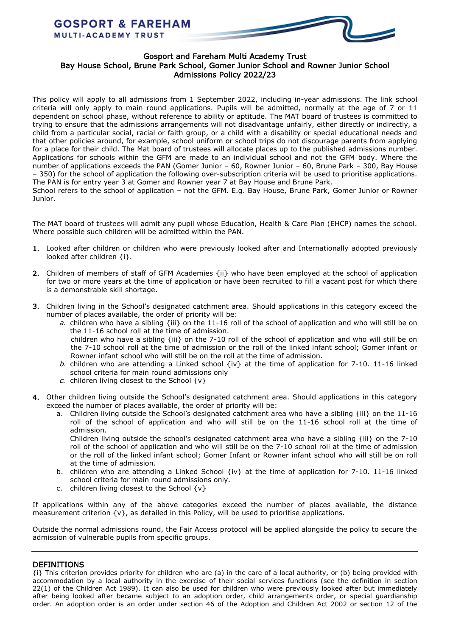

# Gosport and Fareham Multi Academy Trust Bay House School, Brune Park School, Gomer Junior School and Rowner Junior School Admissions Policy 2022/23

This policy will apply to all admissions from 1 September 2022, including in-year admissions. The link school criteria will only apply to main round applications. Pupils will be admitted, normally at the age of 7 or 11 dependent on school phase, without reference to ability or aptitude. The MAT board of trustees is committed to trying to ensure that the admissions arrangements will not disadvantage unfairly, either directly or indirectly, a child from a particular social, racial or faith group, or a child with a disability or special educational needs and that other policies around, for example, school uniform or school trips do not discourage parents from applying for a place for their child. The Mat board of trustees will allocate places up to the published admissions number. Applications for schools within the GFM are made to an individual school and not the GFM body. Where the number of applications exceeds the PAN (Gomer Junior – 60, Rowner Junior – 60, Brune Park – 300, Bay House – 350) for the school of application the following over-subscription criteria will be used to prioritise applications. The PAN is for entry year 3 at Gomer and Rowner year 7 at Bay House and Brune Park.

School refers to the school of application – not the GFM. E.g. Bay House, Brune Park, Gomer Junior or Rowner Junior.

The MAT board of trustees will admit any pupil whose Education, Health & Care Plan (EHCP) names the school. Where possible such children will be admitted within the PAN.

- 1. Looked after children or children who were previously looked after and Internationally adopted previously looked after children {i}.
- 2. Children of members of staff of GFM Academies {ii} who have been employed at the school of application for two or more years at the time of application or have been recruited to fill a vacant post for which there is a demonstrable skill shortage.
- 3. Children living in the School's designated catchment area. Should applications in this category exceed the number of places available, the order of priority will be:
	- a. children who have a sibling  $\{iii\}$  on the 11-16 roll of the school of application and who will still be on the 11-16 school roll at the time of admission. children who have a sibling {iii} on the 7-10 roll of the school of application and who will still be on the 7-10 school roll at the time of admission or the roll of the linked infant school; Gomer infant or Rowner infant school who will still be on the roll at the time of admission.
	- b. children who are attending a Linked school  $\{iv\}$  at the time of application for 7-10. 11-16 linked school criteria for main round admissions only
	- c. children living closest to the School  $\{v\}$
- 4. Other children living outside the School's designated catchment area. Should applications in this category exceed the number of places available, the order of priority will be:
	- a. Children living outside the School's designated catchment area who have a sibling  $\{iii\}$  on the 11-16 roll of the school of application and who will still be on the 11-16 school roll at the time of admission.

Children living outside the school's designated catchment area who have a sibling  $\{\text{iii}\}$  on the 7-10 roll of the school of application and who will still be on the 7-10 school roll at the time of admission or the roll of the linked infant school; Gomer Infant or Rowner infant school who will still be on roll at the time of admission.

- b. children who are attending a Linked School {iv} at the time of application for 7-10. 11-16 linked school criteria for main round admissions only.
- c. children living closest to the School  $\{v\}$

If applications within any of the above categories exceed the number of places available, the distance measurement criterion  $\{v\}$ , as detailed in this Policy, will be used to prioritise applications.

Outside the normal admissions round, the Fair Access protocol will be applied alongside the policy to secure the admission of vulnerable pupils from specific groups.

# DEFINITIONS

{i} This criterion provides priority for children who are (a) in the care of a local authority, or (b) being provided with accommodation by a local authority in the exercise of their social services functions (see the definition in section 22(1) of the Children Act 1989). It can also be used for children who were previously looked after but immediately after being looked after became subject to an adoption order, child arrangements order, or special guardianship order. An adoption order is an order under section 46 of the Adoption and Children Act 2002 or section 12 of the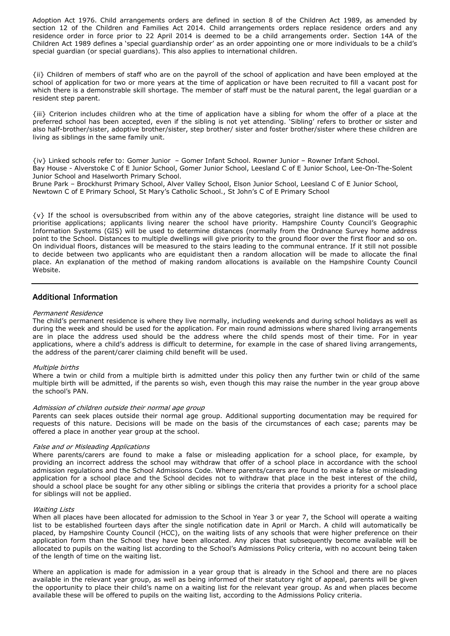Adoption Act 1976. Child arrangements orders are defined in section 8 of the Children Act 1989, as amended by section 12 of the Children and Families Act 2014. Child arrangements orders replace residence orders and any residence order in force prior to 22 April 2014 is deemed to be a child arrangements order. Section 14A of the Children Act 1989 defines a 'special guardianship order' as an order appointing one or more individuals to be a child's special guardian (or special guardians). This also applies to international children.

{ii} Children of members of staff who are on the payroll of the school of application and have been employed at the school of application for two or more years at the time of application or have been recruited to fill a vacant post for which there is a demonstrable skill shortage. The member of staff must be the natural parent, the legal guardian or a resident step parent.

{iii} Criterion includes children who at the time of application have a sibling for whom the offer of a place at the preferred school has been accepted, even if the sibling is not yet attending. 'Sibling' refers to brother or sister and also half-brother/sister, adoptive brother/sister, step brother/ sister and foster brother/sister where these children are living as siblings in the same family unit.

{iv} Linked schools refer to: Gomer Junior – Gomer Infant School. Rowner Junior – Rowner Infant School. Bay House - Alverstoke C of E Junior School, Gomer Junior School, Leesland C of E Junior School, Lee-On-The-Solent Junior School and Haselworth Primary School.

Brune Park – Brockhurst Primary School, Alver Valley School, Elson Junior School, Leesland C of E Junior School, Newtown C of E Primary School, St Mary's Catholic School., St John's C of E Primary School

{v} If the school is oversubscribed from within any of the above categories, straight line distance will be used to prioritise applications; applicants living nearer the school have priority. Hampshire County Council's Geographic Information Systems (GIS) will be used to determine distances (normally from the Ordnance Survey home address point to the School. Distances to multiple dwellings will give priority to the ground floor over the first floor and so on. On individual floors, distances will be measured to the stairs leading to the communal entrance. If it still not possible to decide between two applicants who are equidistant then a random allocation will be made to allocate the final place. An explanation of the method of making random allocations is available on the Hampshire County Council Website.

## Additional Information

### Permanent Residence

The child's permanent residence is where they live normally, including weekends and during school holidays as well as during the week and should be used for the application. For main round admissions where shared living arrangements are in place the address used should be the address where the child spends most of their time. For in year applications, where a child's address is difficult to determine, for example in the case of shared living arrangements, the address of the parent/carer claiming child benefit will be used.

## Multiple births

Where a twin or child from a multiple birth is admitted under this policy then any further twin or child of the same multiple birth will be admitted, if the parents so wish, even though this may raise the number in the year group above the school's PAN.

#### Admission of children outside their normal age group

Parents can seek places outside their normal age group. Additional supporting documentation may be required for requests of this nature. Decisions will be made on the basis of the circumstances of each case; parents may be offered a place in another year group at the school.

## False and or Misleading Applications

Where parents/carers are found to make a false or misleading application for a school place, for example, by providing an incorrect address the school may withdraw that offer of a school place in accordance with the school admission regulations and the School Admissions Code. Where parents/carers are found to make a false or misleading application for a school place and the School decides not to withdraw that place in the best interest of the child, should a school place be sought for any other sibling or siblings the criteria that provides a priority for a school place for siblings will not be applied.

#### Waiting Lists

When all places have been allocated for admission to the School in Year 3 or year 7, the School will operate a waiting list to be established fourteen days after the single notification date in April or March. A child will automatically be placed, by Hampshire County Council (HCC), on the waiting lists of any schools that were higher preference on their application form than the School they have been allocated. Any places that subsequently become available will be allocated to pupils on the waiting list according to the School's Admissions Policy criteria, with no account being taken of the length of time on the waiting list.

Where an application is made for admission in a year group that is already in the School and there are no places available in the relevant year group, as well as being informed of their statutory right of appeal, parents will be given the opportunity to place their child's name on a waiting list for the relevant year group. As and when places become available these will be offered to pupils on the waiting list, according to the Admissions Policy criteria.